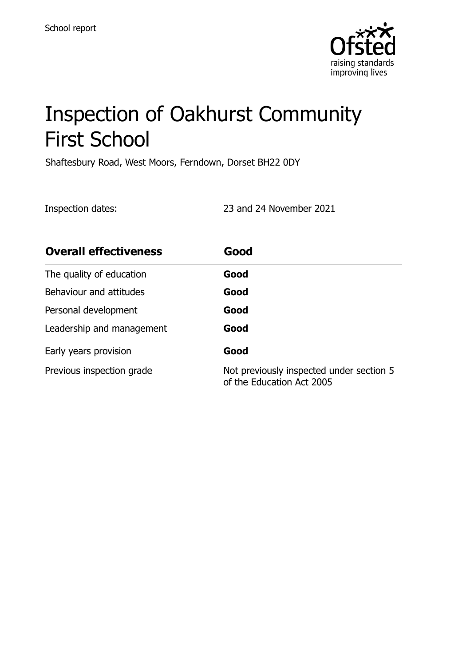

# Inspection of Oakhurst Community First School

Shaftesbury Road, West Moors, Ferndown, Dorset BH22 0DY

Inspection dates: 23 and 24 November 2021

| <b>Overall effectiveness</b> | Good                                                                  |
|------------------------------|-----------------------------------------------------------------------|
| The quality of education     | Good                                                                  |
| Behaviour and attitudes      | Good                                                                  |
| Personal development         | Good                                                                  |
| Leadership and management    | Good                                                                  |
| Early years provision        | Good                                                                  |
| Previous inspection grade    | Not previously inspected under section 5<br>of the Education Act 2005 |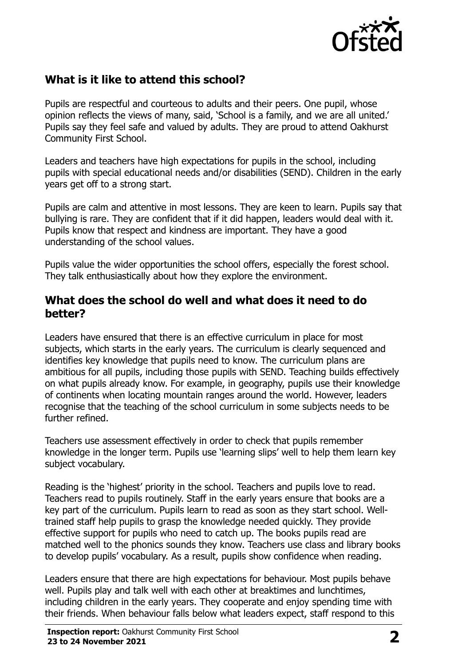

# **What is it like to attend this school?**

Pupils are respectful and courteous to adults and their peers. One pupil, whose opinion reflects the views of many, said, 'School is a family, and we are all united.' Pupils say they feel safe and valued by adults. They are proud to attend Oakhurst Community First School.

Leaders and teachers have high expectations for pupils in the school, including pupils with special educational needs and/or disabilities (SEND). Children in the early years get off to a strong start.

Pupils are calm and attentive in most lessons. They are keen to learn. Pupils say that bullying is rare. They are confident that if it did happen, leaders would deal with it. Pupils know that respect and kindness are important. They have a good understanding of the school values.

Pupils value the wider opportunities the school offers, especially the forest school. They talk enthusiastically about how they explore the environment.

#### **What does the school do well and what does it need to do better?**

Leaders have ensured that there is an effective curriculum in place for most subjects, which starts in the early years. The curriculum is clearly sequenced and identifies key knowledge that pupils need to know. The curriculum plans are ambitious for all pupils, including those pupils with SEND. Teaching builds effectively on what pupils already know. For example, in geography, pupils use their knowledge of continents when locating mountain ranges around the world. However, leaders recognise that the teaching of the school curriculum in some subjects needs to be further refined.

Teachers use assessment effectively in order to check that pupils remember knowledge in the longer term. Pupils use 'learning slips' well to help them learn key subiect vocabulary.

Reading is the 'highest' priority in the school. Teachers and pupils love to read. Teachers read to pupils routinely. Staff in the early years ensure that books are a key part of the curriculum. Pupils learn to read as soon as they start school. Welltrained staff help pupils to grasp the knowledge needed quickly. They provide effective support for pupils who need to catch up. The books pupils read are matched well to the phonics sounds they know. Teachers use class and library books to develop pupils' vocabulary. As a result, pupils show confidence when reading.

Leaders ensure that there are high expectations for behaviour. Most pupils behave well. Pupils play and talk well with each other at breaktimes and lunchtimes, including children in the early years. They cooperate and enjoy spending time with their friends. When behaviour falls below what leaders expect, staff respond to this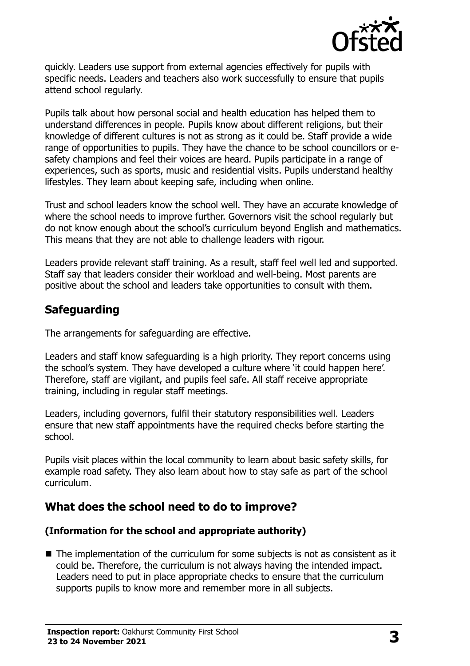

quickly. Leaders use support from external agencies effectively for pupils with specific needs. Leaders and teachers also work successfully to ensure that pupils attend school regularly.

Pupils talk about how personal social and health education has helped them to understand differences in people. Pupils know about different religions, but their knowledge of different cultures is not as strong as it could be. Staff provide a wide range of opportunities to pupils. They have the chance to be school councillors or esafety champions and feel their voices are heard. Pupils participate in a range of experiences, such as sports, music and residential visits. Pupils understand healthy lifestyles. They learn about keeping safe, including when online.

Trust and school leaders know the school well. They have an accurate knowledge of where the school needs to improve further. Governors visit the school regularly but do not know enough about the school's curriculum beyond English and mathematics. This means that they are not able to challenge leaders with rigour.

Leaders provide relevant staff training. As a result, staff feel well led and supported. Staff say that leaders consider their workload and well-being. Most parents are positive about the school and leaders take opportunities to consult with them.

# **Safeguarding**

The arrangements for safeguarding are effective.

Leaders and staff know safeguarding is a high priority. They report concerns using the school's system. They have developed a culture where 'it could happen here'. Therefore, staff are vigilant, and pupils feel safe. All staff receive appropriate training, including in regular staff meetings.

Leaders, including governors, fulfil their statutory responsibilities well. Leaders ensure that new staff appointments have the required checks before starting the school.

Pupils visit places within the local community to learn about basic safety skills, for example road safety. They also learn about how to stay safe as part of the school curriculum.

# **What does the school need to do to improve?**

#### **(Information for the school and appropriate authority)**

■ The implementation of the curriculum for some subjects is not as consistent as it could be. Therefore, the curriculum is not always having the intended impact. Leaders need to put in place appropriate checks to ensure that the curriculum supports pupils to know more and remember more in all subjects.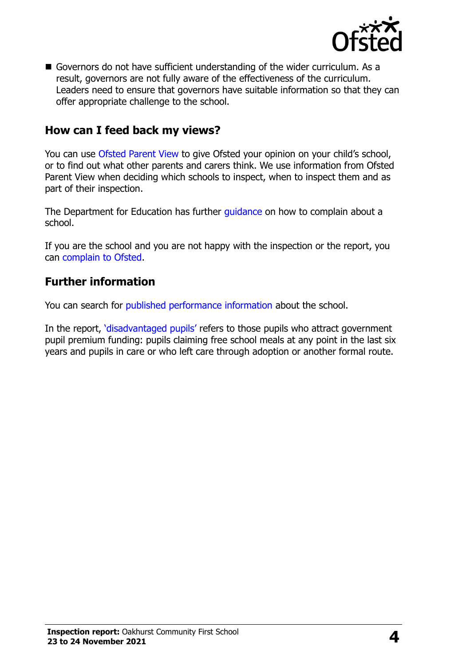

Governors do not have sufficient understanding of the wider curriculum. As a result, governors are not fully aware of the effectiveness of the curriculum. Leaders need to ensure that governors have suitable information so that they can offer appropriate challenge to the school.

#### **How can I feed back my views?**

You can use [Ofsted Parent View](http://parentview.ofsted.gov.uk/) to give Ofsted your opinion on your child's school, or to find out what other parents and carers think. We use information from Ofsted Parent View when deciding which schools to inspect, when to inspect them and as part of their inspection.

The Department for Education has further quidance on how to complain about a school.

If you are the school and you are not happy with the inspection or the report, you can [complain to Ofsted.](http://www.gov.uk/complain-ofsted-report)

#### **Further information**

You can search for [published performance information](http://www.compare-school-performance.service.gov.uk/) about the school.

In the report, '[disadvantaged pupils](http://www.gov.uk/guidance/pupil-premium-information-for-schools-and-alternative-provision-settings)' refers to those pupils who attract government pupil premium funding: pupils claiming free school meals at any point in the last six years and pupils in care or who left care through adoption or another formal route.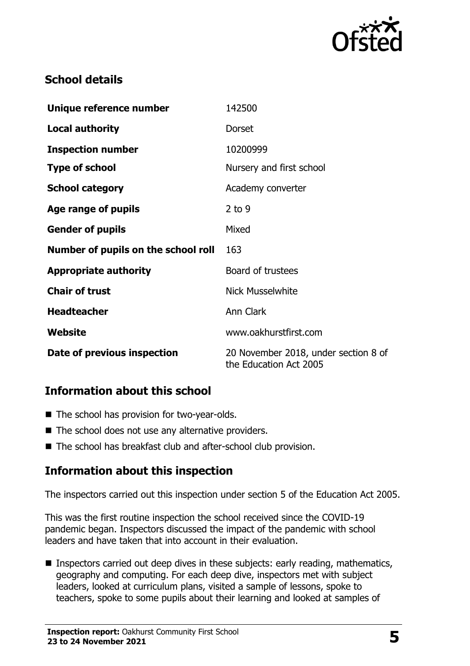

# **School details**

| Unique reference number             | 142500                                                         |
|-------------------------------------|----------------------------------------------------------------|
| <b>Local authority</b>              | <b>Dorset</b>                                                  |
| <b>Inspection number</b>            | 10200999                                                       |
| <b>Type of school</b>               | Nursery and first school                                       |
| <b>School category</b>              | Academy converter                                              |
| Age range of pupils                 | $2$ to 9                                                       |
| <b>Gender of pupils</b>             | Mixed                                                          |
| Number of pupils on the school roll | 163                                                            |
| <b>Appropriate authority</b>        | Board of trustees                                              |
| <b>Chair of trust</b>               | <b>Nick Musselwhite</b>                                        |
| <b>Headteacher</b>                  | Ann Clark                                                      |
| Website                             | www.oakhurstfirst.com                                          |
| Date of previous inspection         | 20 November 2018, under section 8 of<br>the Education Act 2005 |

### **Information about this school**

- The school has provision for two-year-olds.
- The school does not use any alternative providers.
- The school has breakfast club and after-school club provision.

# **Information about this inspection**

The inspectors carried out this inspection under section 5 of the Education Act 2005.

This was the first routine inspection the school received since the COVID-19 pandemic began. Inspectors discussed the impact of the pandemic with school leaders and have taken that into account in their evaluation.

■ Inspectors carried out deep dives in these subjects: early reading, mathematics, geography and computing. For each deep dive, inspectors met with subject leaders, looked at curriculum plans, visited a sample of lessons, spoke to teachers, spoke to some pupils about their learning and looked at samples of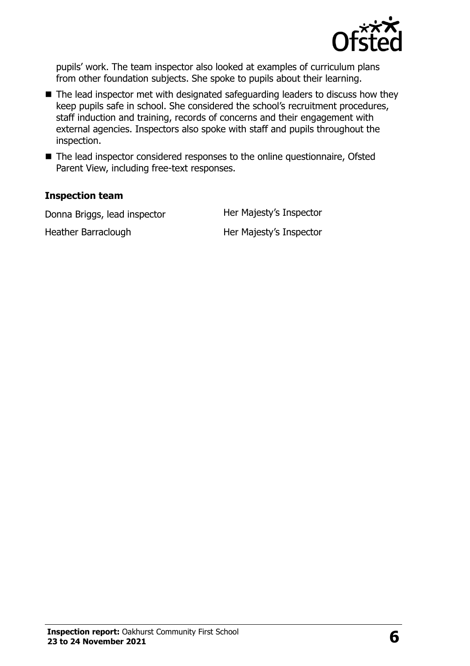

pupils' work. The team inspector also looked at examples of curriculum plans from other foundation subjects. She spoke to pupils about their learning.

- $\blacksquare$  The lead inspector met with designated safeguarding leaders to discuss how they keep pupils safe in school. She considered the school's recruitment procedures, staff induction and training, records of concerns and their engagement with external agencies. Inspectors also spoke with staff and pupils throughout the inspection.
- The lead inspector considered responses to the online questionnaire, Ofsted Parent View, including free-text responses.

#### **Inspection team**

Donna Briggs, lead inspector **Her Majesty's Inspector** 

Heather Barraclough Her Majesty's Inspector